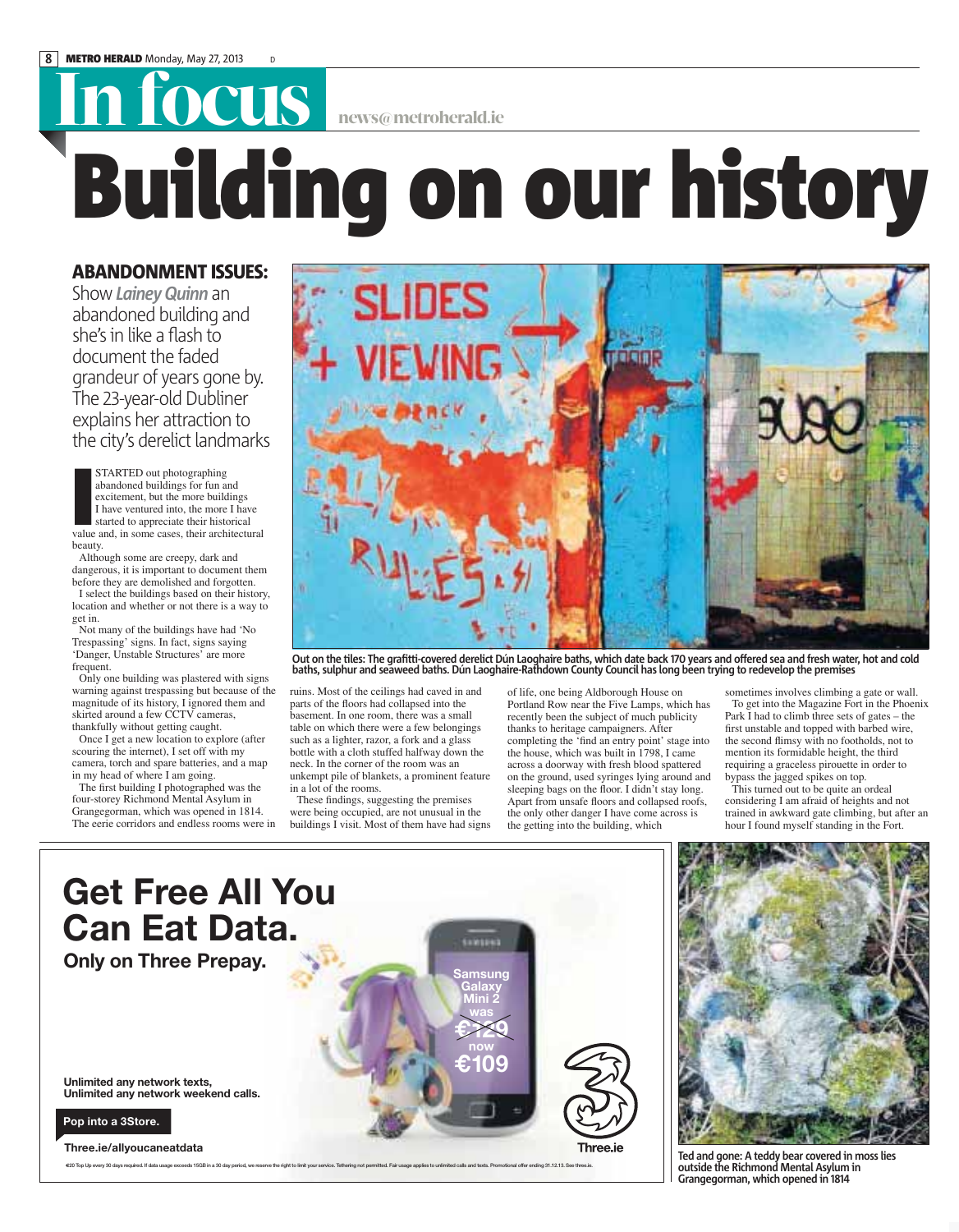## **IN FOCUS** news@metroherald.ie

## **Building on our history**

## **ABANDONMENT ISSUES:**

Show *Lainey Quinn* an abandoned building and she's in like a flash to document the faded grandeur of years gone by. The 23-year-old Dubliner explains her attraction to the city's derelict landmarks

**STARTED** out photographing<br>abandoned buildings for fun and<br>excitement, but the more buildings<br>I have ventured into, the more I have<br>started to appreciate their historical<br>value and, in some cases, their architectural abandoned buildings for fun and excitement, but the more buildings I have ventured into, the more I have started to appreciate their historical beauty.

Although some are creepy, dark and dangerous, it is important to document them before they are demolished and forgotten.

I select the buildings based on their history, location and whether or not there is a way to get in.

Not many of the buildings have had 'No Trespassing' signs. In fact, signs saying 'Danger, Unstable Structures' are more frequent.

Only one building was plastered with signs warning against trespassing but because of the magnitude of its history, I ignored them and skirted around a few CCTV cameras, thankfully without getting caught.

Once I get a new location to explore (after scouring the internet), I set off with my camera, torch and spare batteries, and a map in my head of where I am going.

The first building I photographed was the four-storey Richmond Mental Asylum in Grangegorman, which was opened in 1814. The eerie corridors and endless rooms were in



Out on the tiles: The grafitti-covered derelict Dún Laoghaire baths, which date back 170 years and offered sea and fresh water, hot and cold<br>baths, sulphur and seaweed baths. Dún Laoghaire-Rathdown County Council has long

ruins. Most of the ceilings had caved in and parts of the floors had collapsed into the basement. In one room, there was a small table on which there were a few belongings such as a lighter, razor, a fork and a glass bottle with a cloth stuffed halfway down the neck. In the corner of the room was an unkempt pile of blankets, a prominent feature in a lot of the rooms.

These findings, suggesting the premises were being occupied, are not unusual in the buildings I visit. Most of them have had signs of life, one being Aldborough House on Portland Row near the Five Lamps, which has recently been the subject of much publicity thanks to heritage campaigners. After completing the 'find an entry point' stage into the house, which was built in 1798, I came across a doorway with fresh blood spattered on the ground, used syringes lying around and sleeping bags on the floor. I didn't stay long. Apart from unsafe floors and collapsed roofs, the only other danger I have come across is the getting into the building, which

sometimes involves climbing a gate or wall. To get into the Magazine Fort in the Phoenix Park I had to climb three sets of gates – the first unstable and topped with barbed wire, the second flimsy with no footholds, not to mention its formidable height, the third requiring a graceless pirouette in order to bypass the jagged spikes on top.

This turned out to be quite an ordeal considering I am afraid of heights and not trained in awkward gate climbing, but after an hour I found myself standing in the Fort.





**Ted and gone: A teddy bear covered in moss lies outside the Richmond Mental Asylum in Grangegorman, which opened in 1814**